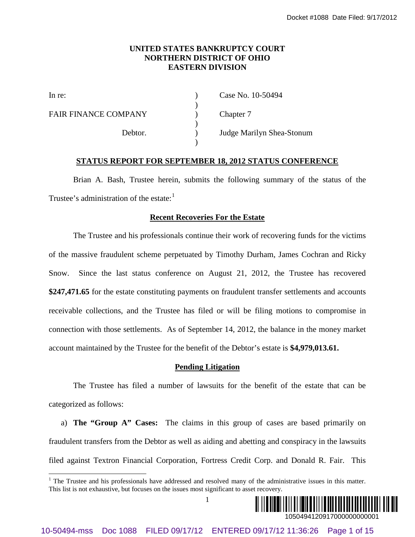## **UNITED STATES BANKRUPTCY COURT NORTHERN DISTRICT OF OHIO EASTERN DIVISION**

)

)

)

FAIR FINANCE COMPANY (a) Chapter 7

In re: (a) Case No. 10-50494

Debtor. ) Judge Marilyn Shea-Stonum

## **STATUS REPORT FOR SEPTEMBER 18, 2012 STATUS CONFERENCE**

Brian A. Bash, Trustee herein, submits the following summary of the status of the Trustee's administration of the estate: $<sup>1</sup>$  $<sup>1</sup>$  $<sup>1</sup>$ </sup>

## **Recent Recoveries For the Estate**

The Trustee and his professionals continue their work of recovering funds for the victims of the massive fraudulent scheme perpetuated by Timothy Durham, James Cochran and Ricky Snow. Since the last status conference on August 21, 2012, the Trustee has recovered **\$247,471.65** for the estate constituting payments on fraudulent transfer settlements and accounts receivable collections, and the Trustee has filed or will be filing motions to compromise in connection with those settlements. As of September 14, 2012, the balance in the money market account maintained by the Trustee for the benefit of the Debtor's estate is **\$4,979,013.61.** 10-6049 FIRED STATES BANCELITYCV COCET<br>
10-60494-mss DOC 1088 FIREN DISTRICT OF ORD 109-44<br>
FAIR FINANCE COMPANY<br>  $\left.\begin{array}{c}\right\{\text{Chapter 7}\\\ \text{20}\text{ days} \text{ Min} \text{y} \text{ She}}\text{Step 7}\end{array}\right\}$ <br>
The New 10-80494-<br>
FAIR FINANCE COMPANY<br>  $\left.\$ 

## **Pending Litigation**

The Trustee has filed a number of lawsuits for the benefit of the estate that can be categorized as follows:

a) **The "Group A" Cases:** The claims in this group of cases are based primarily on fraudulent transfers from the Debtor as well as aiding and abetting and conspiracy in the lawsuits filed against Textron Financial Corporation, Fortress Credit Corp. and Donald R. Fair. This



<span id="page-0-0"></span><sup>&</sup>lt;sup>1</sup> The Trustee and his professionals have addressed and resolved many of the administrative issues in this matter. This list is not exhaustive, but focuses on the issues most significant to asset recovery.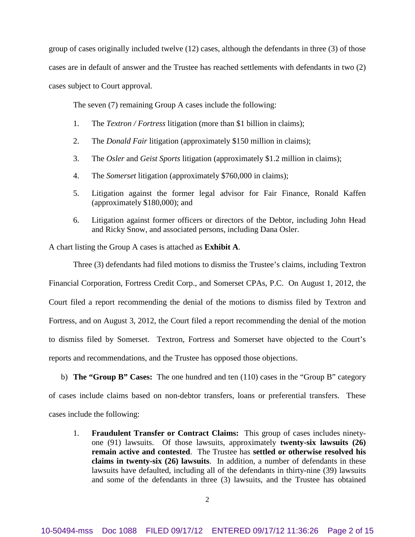group of cases originally included twelve (12) cases, although the defendants in three (3) of those cases are in default of answer and the Trustee has reached settlements with defendants in two (2) cases subject to Court approval.

The seven (7) remaining Group A cases include the following:

- 1. The *Textron / Fortress* litigation (more than \$1 billion in claims);
- 2. The *Donald Fair* litigation (approximately \$150 million in claims);
- 3. The *Osler* and *Geist Sports* litigation (approximately \$1.2 million in claims);
- 4. The *Somerset* litigation (approximately \$760,000 in claims);
- 5. Litigation against the former legal advisor for Fair Finance, Ronald Kaffen (approximately \$180,000); and
- 6. Litigation against former officers or directors of the Debtor, including John Head and Ricky Snow, and associated persons, including Dana Osler.

A chart listing the Group A cases is attached as **Exhibit A**.

Three (3) defendants had filed motions to dismiss the Trustee's claims, including Textron Financial Corporation, Fortress Credit Corp., and Somerset CPAs, P.C. On August 1, 2012, the Court filed a report recommending the denial of the motions to dismiss filed by Textron and Fortress, and on August 3, 2012, the Court filed a report recommending the denial of the motion to dismiss filed by Somerset. Textron, Fortress and Somerset have objected to the Court's reports and recommendations, and the Trustee has opposed those objections.

b) **The "Group B" Cases:** The one hundred and ten (110) cases in the "Group B" category of cases include claims based on non-debtor transfers, loans or preferential transfers. These cases include the following:

1. **Fraudulent Transfer or Contract Claims:** This group of cases includes ninetyone (91) lawsuits. Of those lawsuits, approximately **twenty-six lawsuits (26) remain active and contested**. The Trustee has **settled or otherwise resolved his claims in twenty-six (26) lawsuits**. In addition, a number of defendants in these lawsuits have defaulted, including all of the defendants in thirty-nine (39) lawsuits and some of the defendants in three (3) lawsuits, and the Trustee has obtained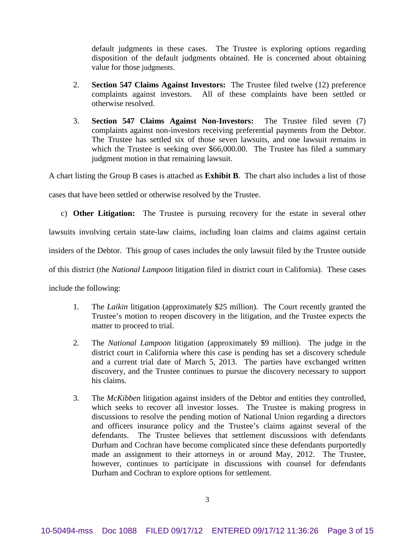default judgments in these cases. The Trustee is exploring options regarding disposition of the default judgments obtained. He is concerned about obtaining value for those judgments.

- 2. **Section 547 Claims Against Investors:** The Trustee filed twelve (12) preference complaints against investors. All of these complaints have been settled or otherwise resolved.
- 3. **Section 547 Claims Against Non-Investors:** The Trustee filed seven (7) complaints against non-investors receiving preferential payments from the Debtor. The Trustee has settled six of those seven lawsuits, and one lawsuit remains in which the Trustee is seeking over \$66,000.00. The Trustee has filed a summary judgment motion in that remaining lawsuit.

A chart listing the Group B cases is attached as **Exhibit B**. The chart also includes a list of those

cases that have been settled or otherwise resolved by the Trustee.

c) **Other Litigation:** The Trustee is pursuing recovery for the estate in several other lawsuits involving certain state-law claims, including loan claims and claims against certain insiders of the Debtor. This group of cases includes the only lawsuit filed by the Trustee outside of this district (the *National Lampoon* litigation filed in district court in California). These cases

include the following:

- 1. The *Laikin* litigation (approximately \$25 million). The Court recently granted the Trustee's motion to reopen discovery in the litigation, and the Trustee expects the matter to proceed to trial.
- 2. The *National Lampoon* litigation (approximately \$9 million). The judge in the district court in California where this case is pending has set a discovery schedule and a current trial date of March 5, 2013. The parties have exchanged written discovery, and the Trustee continues to pursue the discovery necessary to support his claims.
- 3. The *McKibben* litigation against insiders of the Debtor and entities they controlled, which seeks to recover all investor losses. The Trustee is making progress in discussions to resolve the pending motion of National Union regarding a directors and officers insurance policy and the Trustee's claims against several of the defendants. The Trustee believes that settlement discussions with defendants Durham and Cochran have become complicated since these defendants purportedly made an assignment to their attorneys in or around May, 2012. The Trustee, however, continues to participate in discussions with counsel for defendants Durham and Cochran to explore options for settlement.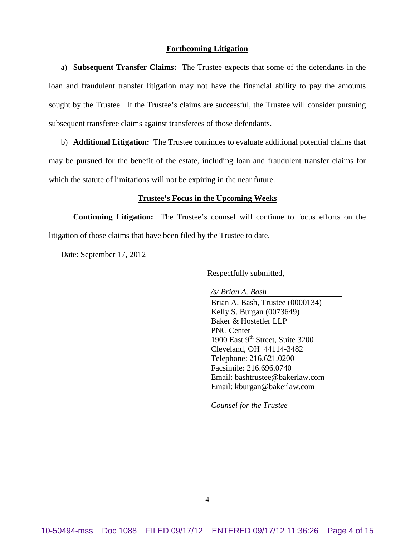## **Forthcoming Litigation**

a) **Subsequent Transfer Claims:** The Trustee expects that some of the defendants in the loan and fraudulent transfer litigation may not have the financial ability to pay the amounts sought by the Trustee. If the Trustee's claims are successful, the Trustee will consider pursuing subsequent transferee claims against transferees of those defendants.

b) **Additional Litigation:** The Trustee continues to evaluate additional potential claims that may be pursued for the benefit of the estate, including loan and fraudulent transfer claims for which the statute of limitations will not be expiring in the near future.

## **Trustee's Focus in the Upcoming Weeks**

**Continuing Litigation:** The Trustee's counsel will continue to focus efforts on the litigation of those claims that have been filed by the Trustee to date.

Date: September 17, 2012

Respectfully submitted,

*/s/ Brian A. Bash* Brian A. Bash, Trustee (0000134) Kelly S. Burgan (0073649) Baker & Hostetler LLP PNC Center 1900 East  $9<sup>th</sup>$  Street, Suite 3200 Cleveland, OH 44114-3482 Telephone: 216.621.0200 Facsimile: 216.696.0740 Email: bashtrustee@bakerlaw.com Email: kburgan@bakerlaw.com

*Counsel for the Trustee*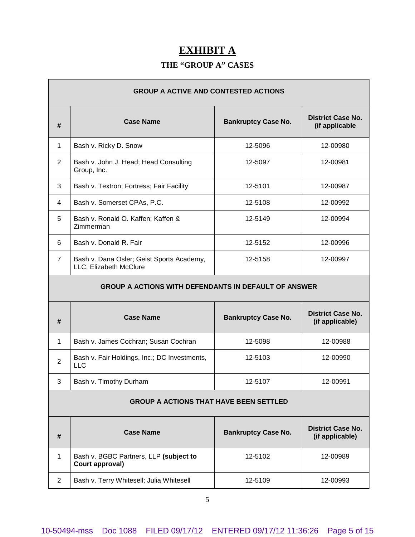# **EXHIBIT A**

## **THE "GROUP A" CASES**

Ē.

| <b>GROUP A ACTIVE AND CONTESTED ACTIONS</b>          |                                                                     |                            |                                             |
|------------------------------------------------------|---------------------------------------------------------------------|----------------------------|---------------------------------------------|
| #                                                    | <b>Case Name</b>                                                    | <b>Bankruptcy Case No.</b> | <b>District Case No.</b><br>(if applicable  |
| 1                                                    | Bash v. Ricky D. Snow                                               | 12-5096                    | 12-00980                                    |
| 2                                                    | Bash v. John J. Head; Head Consulting<br>Group, Inc.                | 12-5097                    | 12-00981                                    |
| 3                                                    | Bash v. Textron; Fortress; Fair Facility                            | 12-5101                    | 12-00987                                    |
| 4                                                    | Bash v. Somerset CPAs, P.C.                                         | 12-5108                    | 12-00992                                    |
| 5                                                    | Bash v. Ronald O. Kaffen; Kaffen &<br>Zimmerman                     | 12-5149                    | 12-00994                                    |
| 6                                                    | Bash v. Donald R. Fair                                              | 12-5152                    | 12-00996                                    |
| $\overline{7}$                                       | Bash v. Dana Osler; Geist Sports Academy,<br>LLC; Elizabeth McClure | 12-5158                    | 12-00997                                    |
| GROUP A ACTIONS WITH DEFENDANTS IN DEFAULT OF ANSWER |                                                                     |                            |                                             |
| #                                                    | <b>Case Name</b>                                                    | <b>Bankruptcy Case No.</b> | <b>District Case No.</b><br>(if applicable) |
| 1                                                    | Bash v. James Cochran; Susan Cochran                                | 12-5098                    | 12-00988                                    |
| $\overline{2}$                                       | Bash v. Fair Holdings, Inc.; DC Investments,<br><b>LLC</b>          | 12-5103                    | 12-00990                                    |
| 3                                                    | Bash v. Timothy Durham                                              | 12-5107                    | 12-00991                                    |
| <b>GROUP A ACTIONS THAT HAVE BEEN SETTLED</b>        |                                                                     |                            |                                             |
| #                                                    | <b>Case Name</b>                                                    | <b>Bankruptcy Case No.</b> | <b>District Case No.</b><br>(if applicable) |
| $\mathbf{1}$                                         | Bash v. BGBC Partners, LLP (subject to<br>Court approval)           | 12-5102                    | 12-00989                                    |
| $\overline{2}$                                       | Bash v. Terry Whitesell; Julia Whitesell                            | 12-5109                    | 12-00993                                    |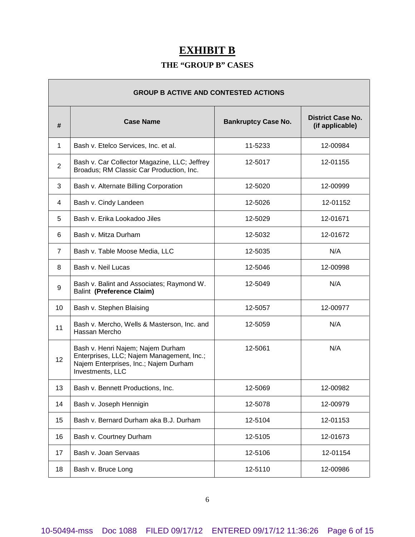# **EXHIBIT B**

## **THE "GROUP B" CASES**

| <b>GROUP B ACTIVE AND CONTESTED ACTIONS</b> |                                                                                                                                             |                            |                                             |
|---------------------------------------------|---------------------------------------------------------------------------------------------------------------------------------------------|----------------------------|---------------------------------------------|
| #                                           | <b>Case Name</b>                                                                                                                            | <b>Bankruptcy Case No.</b> | <b>District Case No.</b><br>(if applicable) |
| 1                                           | Bash v. Etelco Services, Inc. et al.                                                                                                        | 11-5233                    | 12-00984                                    |
| $\overline{2}$                              | Bash v. Car Collector Magazine, LLC; Jeffrey<br>Broadus; RM Classic Car Production, Inc.                                                    | 12-5017                    | 12-01155                                    |
| 3                                           | Bash v. Alternate Billing Corporation                                                                                                       | 12-5020                    | 12-00999                                    |
| 4                                           | Bash v. Cindy Landeen                                                                                                                       | 12-5026                    | 12-01152                                    |
| 5                                           | Bash v. Erika Lookadoo Jiles                                                                                                                | 12-5029                    | 12-01671                                    |
| 6                                           | Bash v. Mitza Durham                                                                                                                        | 12-5032                    | 12-01672                                    |
| $\overline{7}$                              | Bash v. Table Moose Media, LLC                                                                                                              | 12-5035                    | N/A                                         |
| 8                                           | Bash v. Neil Lucas                                                                                                                          | 12-5046                    | 12-00998                                    |
| 9                                           | Bash v. Balint and Associates; Raymond W.<br>Balint (Preference Claim)                                                                      | 12-5049                    | N/A                                         |
| 10                                          | Bash v. Stephen Blaising                                                                                                                    | 12-5057                    | 12-00977                                    |
| 11                                          | Bash v. Mercho, Wells & Masterson, Inc. and<br>Hassan Mercho                                                                                | 12-5059                    | N/A                                         |
| 12                                          | Bash v. Henri Najem; Najem Durham<br>Enterprises, LLC; Najem Management, Inc.;<br>Najem Enterprises, Inc.; Najem Durham<br>Investments, LLC | 12-5061                    | N/A                                         |
| 13                                          | Bash v. Bennett Productions, Inc.                                                                                                           | 12-5069                    | 12-00982                                    |
| 14                                          | Bash v. Joseph Hennigin                                                                                                                     | 12-5078                    | 12-00979                                    |
| 15                                          | Bash v. Bernard Durham aka B.J. Durham                                                                                                      | 12-5104                    | 12-01153                                    |
| 16                                          | Bash v. Courtney Durham                                                                                                                     | 12-5105                    | 12-01673                                    |
| 17                                          | Bash v. Joan Servaas                                                                                                                        | 12-5106                    | 12-01154                                    |
| 18                                          | Bash v. Bruce Long                                                                                                                          | 12-5110                    | 12-00986                                    |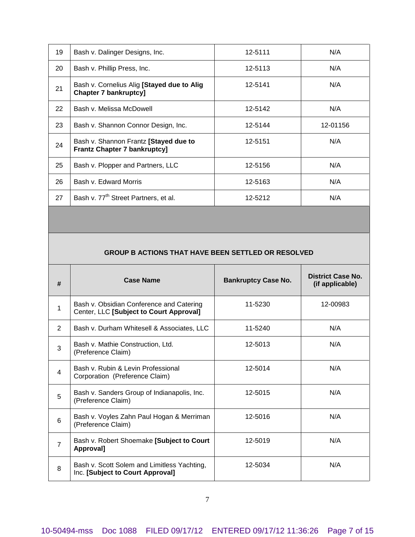| 19 | Bash v. Dalinger Designs, Inc.                                               | 12-5111 | N/A      |
|----|------------------------------------------------------------------------------|---------|----------|
| 20 | Bash v. Phillip Press, Inc.                                                  | 12-5113 | N/A      |
| 21 | Bash v. Cornelius Alig [Stayed due to Alig<br><b>Chapter 7 bankruptcy]</b>   | 12-5141 | N/A      |
| 22 | Bash v. Melissa McDowell                                                     | 12-5142 | N/A      |
| 23 | Bash v. Shannon Connor Design, Inc.                                          | 12-5144 | 12-01156 |
| 24 | Bash v. Shannon Frantz [Stayed due to<br><b>Frantz Chapter 7 bankruptcy]</b> | 12-5151 | N/A      |
| 25 | Bash v. Plopper and Partners, LLC                                            | 12-5156 | N/A      |
| 26 | Bash v. Edward Morris                                                        | 12-5163 | N/A      |
| 27 | Bash v. 77 <sup>th</sup> Street Partners, et al.                             | 12-5212 | N/A      |

## **GROUP B ACTIONS THAT HAVE BEEN SETTLED OR RESOLVED**

| # | <b>Case Name</b>                                                                    | <b>Bankruptcy Case No.</b> | <b>District Case No.</b><br>(if applicable) |
|---|-------------------------------------------------------------------------------------|----------------------------|---------------------------------------------|
| 1 | Bash v. Obsidian Conference and Catering<br>Center, LLC [Subject to Court Approval] | 11-5230                    | 12-00983                                    |
| 2 | Bash v. Durham Whitesell & Associates, LLC                                          | 11-5240                    | N/A                                         |
| 3 | Bash v. Mathie Construction, Ltd.<br>(Preference Claim)                             | 12-5013                    | N/A                                         |
| 4 | Bash v. Rubin & Levin Professional<br>Corporation (Preference Claim)                | 12-5014                    | N/A                                         |
| 5 | Bash v. Sanders Group of Indianapolis, Inc.<br>(Preference Claim)                   | 12-5015                    | N/A                                         |
| 6 | Bash v. Voyles Zahn Paul Hogan & Merriman<br>(Preference Claim)                     | 12-5016                    | N/A                                         |
| 7 | Bash v. Robert Shoemake [Subject to Court<br><b>Approvall</b>                       | 12-5019                    | N/A                                         |
| 8 | Bash v. Scott Solem and Limitless Yachting,<br>Inc. [Subject to Court Approval]     | 12-5034                    | N/A                                         |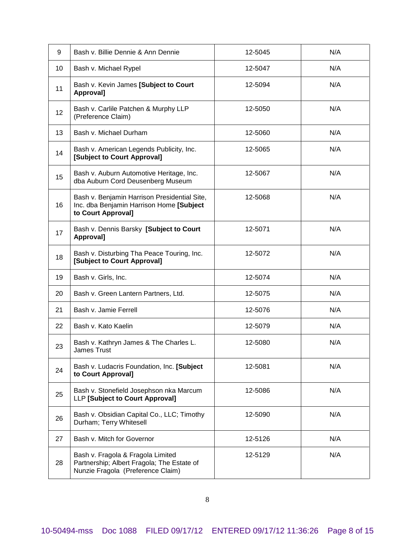| 9  | Bash v. Billie Dennie & Ann Dennie                                                                                   | 12-5045 | N/A |
|----|----------------------------------------------------------------------------------------------------------------------|---------|-----|
| 10 | Bash v. Michael Rypel                                                                                                | 12-5047 | N/A |
| 11 | Bash v. Kevin James [Subject to Court<br>Approval]                                                                   | 12-5094 | N/A |
| 12 | Bash v. Carlile Patchen & Murphy LLP<br>(Preference Claim)                                                           | 12-5050 | N/A |
| 13 | Bash v. Michael Durham                                                                                               | 12-5060 | N/A |
| 14 | Bash v. American Legends Publicity, Inc.<br>[Subject to Court Approval]                                              | 12-5065 | N/A |
| 15 | Bash v. Auburn Automotive Heritage, Inc.<br>dba Auburn Cord Deusenberg Museum                                        | 12-5067 | N/A |
| 16 | Bash v. Benjamin Harrison Presidential Site,<br>Inc. dba Benjamin Harrison Home [Subject<br>to Court Approval]       | 12-5068 | N/A |
| 17 | Bash v. Dennis Barsky [Subject to Court<br>Approval]                                                                 | 12-5071 | N/A |
| 18 | Bash v. Disturbing Tha Peace Touring, Inc.<br>[Subject to Court Approval]                                            | 12-5072 | N/A |
| 19 | Bash v. Girls, Inc.                                                                                                  | 12-5074 | N/A |
| 20 | Bash v. Green Lantern Partners, Ltd.                                                                                 | 12-5075 | N/A |
| 21 | Bash v. Jamie Ferrell                                                                                                | 12-5076 | N/A |
| 22 | Bash v. Kato Kaelin                                                                                                  | 12-5079 | N/A |
| 23 | Bash v. Kathryn James & The Charles L.<br><b>James Trust</b>                                                         | 12-5080 | N/A |
| 24 | Bash v. Ludacris Foundation, Inc. [Subject<br>to Court Approval]                                                     | 12-5081 | N/A |
| 25 | Bash v. Stonefield Josephson nka Marcum<br>LLP [Subject to Court Approval]                                           | 12-5086 | N/A |
| 26 | Bash v. Obsidian Capital Co., LLC; Timothy<br>Durham; Terry Whitesell                                                | 12-5090 | N/A |
| 27 | Bash v. Mitch for Governor                                                                                           | 12-5126 | N/A |
| 28 | Bash v. Fragola & Fragola Limited<br>Partnership; Albert Fragola; The Estate of<br>Nunzie Fragola (Preference Claim) | 12-5129 | N/A |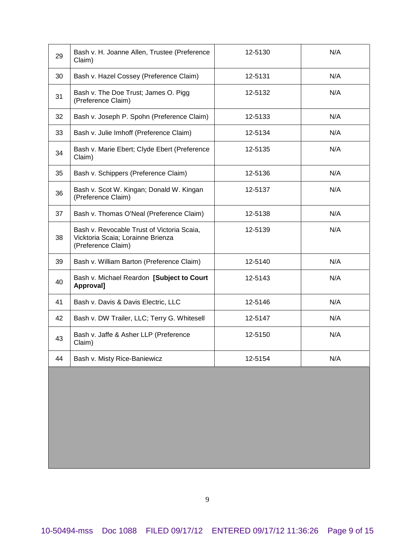| 29 | Bash v. H. Joanne Allen, Trustee (Preference<br>Claim)                                                | 12-5130 | N/A |
|----|-------------------------------------------------------------------------------------------------------|---------|-----|
| 30 | Bash v. Hazel Cossey (Preference Claim)                                                               | 12-5131 | N/A |
| 31 | Bash v. The Doe Trust; James O. Pigg<br>(Preference Claim)                                            | 12-5132 | N/A |
| 32 | Bash v. Joseph P. Spohn (Preference Claim)                                                            | 12-5133 | N/A |
| 33 | Bash v. Julie Imhoff (Preference Claim)                                                               | 12-5134 | N/A |
| 34 | Bash v. Marie Ebert; Clyde Ebert (Preference<br>Claim)                                                | 12-5135 | N/A |
| 35 | Bash v. Schippers (Preference Claim)                                                                  | 12-5136 | N/A |
| 36 | Bash v. Scot W. Kingan; Donald W. Kingan<br>(Preference Claim)                                        | 12-5137 | N/A |
| 37 | Bash v. Thomas O'Neal (Preference Claim)                                                              | 12-5138 | N/A |
| 38 | Bash v. Revocable Trust of Victoria Scaia,<br>Vicktoria Scaia; Lorainne Brienza<br>(Preference Claim) | 12-5139 | N/A |
| 39 | Bash v. William Barton (Preference Claim)                                                             | 12-5140 | N/A |
| 40 | Bash v. Michael Reardon [Subject to Court<br>Approval]                                                | 12-5143 | N/A |
| 41 | Bash v. Davis & Davis Electric, LLC                                                                   | 12-5146 | N/A |
| 42 | Bash v. DW Trailer, LLC; Terry G. Whitesell                                                           | 12-5147 | N/A |
| 43 | Bash v. Jaffe & Asher LLP (Preference<br>Claim)                                                       | 12-5150 | N/A |
| 44 | Bash v. Misty Rice-Baniewicz                                                                          | 12-5154 | N/A |
|    |                                                                                                       |         |     |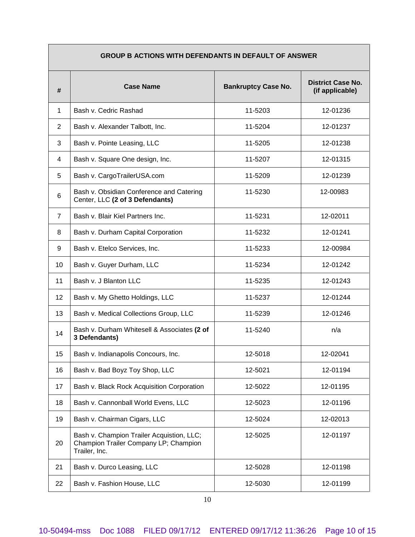| <b>GROUP B ACTIONS WITH DEFENDANTS IN DEFAULT OF ANSWER</b> |                                                                                                     |                            |                                             |
|-------------------------------------------------------------|-----------------------------------------------------------------------------------------------------|----------------------------|---------------------------------------------|
| #                                                           | <b>Case Name</b>                                                                                    | <b>Bankruptcy Case No.</b> | <b>District Case No.</b><br>(if applicable) |
| 1                                                           | Bash v. Cedric Rashad                                                                               | 11-5203                    | 12-01236                                    |
| $\overline{2}$                                              | Bash v. Alexander Talbott, Inc.                                                                     | 11-5204                    | 12-01237                                    |
| 3                                                           | Bash v. Pointe Leasing, LLC                                                                         | 11-5205                    | 12-01238                                    |
| 4                                                           | Bash v. Square One design, Inc.                                                                     | 11-5207                    | 12-01315                                    |
| 5                                                           | Bash v. CargoTrailerUSA.com                                                                         | 11-5209                    | 12-01239                                    |
| 6                                                           | Bash v. Obsidian Conference and Catering<br>Center, LLC (2 of 3 Defendants)                         | 11-5230                    | 12-00983                                    |
| $\overline{7}$                                              | Bash v. Blair Kiel Partners Inc.                                                                    | 11-5231                    | 12-02011                                    |
| 8                                                           | Bash v. Durham Capital Corporation                                                                  | 11-5232                    | 12-01241                                    |
| 9                                                           | Bash v. Etelco Services, Inc.                                                                       | 11-5233                    | 12-00984                                    |
| 10                                                          | Bash v. Guyer Durham, LLC                                                                           | 11-5234                    | 12-01242                                    |
| 11                                                          | Bash v. J Blanton LLC                                                                               | 11-5235                    | 12-01243                                    |
| 12                                                          | Bash v. My Ghetto Holdings, LLC                                                                     | 11-5237                    | 12-01244                                    |
| 13                                                          | Bash v. Medical Collections Group, LLC                                                              | 11-5239                    | 12-01246                                    |
| 14                                                          | Bash v. Durham Whitesell & Associates (2 of<br>3 Defendants)                                        | 11-5240                    | n/a                                         |
| 15                                                          | Bash v. Indianapolis Concours, Inc.                                                                 | 12-5018                    | 12-02041                                    |
| 16                                                          | Bash v. Bad Boyz Toy Shop, LLC                                                                      | 12-5021                    | 12-01194                                    |
| 17                                                          | Bash v. Black Rock Acquisition Corporation                                                          | 12-5022                    | 12-01195                                    |
| 18                                                          | Bash v. Cannonball World Evens, LLC                                                                 | 12-5023                    | 12-01196                                    |
| 19                                                          | Bash v. Chairman Cigars, LLC                                                                        | 12-5024                    | 12-02013                                    |
| 20                                                          | Bash v. Champion Trailer Acquistion, LLC;<br>Champion Trailer Company LP; Champion<br>Trailer, Inc. | 12-5025                    | 12-01197                                    |
| 21                                                          | Bash v. Durco Leasing, LLC                                                                          | 12-5028                    | 12-01198                                    |
| 22                                                          | Bash v. Fashion House, LLC                                                                          | 12-5030                    | 12-01199                                    |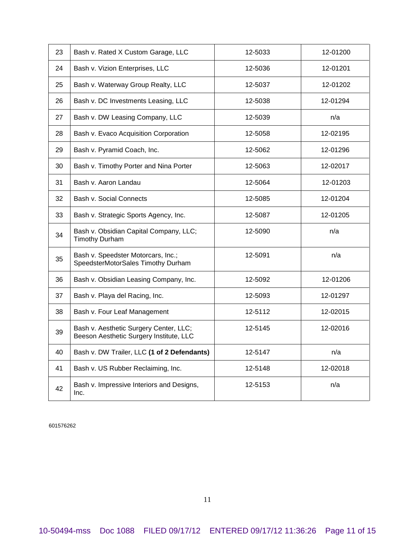| 23 | Bash v. Rated X Custom Garage, LLC                                                | 12-5033 | 12-01200 |
|----|-----------------------------------------------------------------------------------|---------|----------|
| 24 | Bash v. Vizion Enterprises, LLC                                                   | 12-5036 | 12-01201 |
| 25 | Bash v. Waterway Group Realty, LLC                                                | 12-5037 | 12-01202 |
| 26 | Bash v. DC Investments Leasing, LLC                                               | 12-5038 | 12-01294 |
| 27 | Bash v. DW Leasing Company, LLC                                                   | 12-5039 | n/a      |
| 28 | Bash v. Evaco Acquisition Corporation                                             | 12-5058 | 12-02195 |
| 29 | Bash v. Pyramid Coach, Inc.                                                       | 12-5062 | 12-01296 |
| 30 | Bash v. Timothy Porter and Nina Porter                                            | 12-5063 | 12-02017 |
| 31 | Bash v. Aaron Landau                                                              | 12-5064 | 12-01203 |
| 32 | Bash v. Social Connects                                                           | 12-5085 | 12-01204 |
| 33 | Bash v. Strategic Sports Agency, Inc.                                             | 12-5087 | 12-01205 |
| 34 | Bash v. Obsidian Capital Company, LLC;<br><b>Timothy Durham</b>                   | 12-5090 | n/a      |
| 35 | Bash v. Speedster Motorcars, Inc.;<br>SpeedsterMotorSales Timothy Durham          | 12-5091 | n/a      |
| 36 | Bash v. Obsidian Leasing Company, Inc.                                            | 12-5092 | 12-01206 |
| 37 | Bash v. Playa del Racing, Inc.                                                    | 12-5093 | 12-01297 |
| 38 | Bash v. Four Leaf Management                                                      | 12-5112 | 12-02015 |
| 39 | Bash v. Aesthetic Surgery Center, LLC;<br>Beeson Aesthetic Surgery Institute, LLC | 12-5145 | 12-02016 |
| 40 | Bash v. DW Trailer, LLC (1 of 2 Defendants)                                       | 12-5147 | n/a      |
| 41 | Bash v. US Rubber Reclaiming, Inc.                                                | 12-5148 | 12-02018 |
| 42 | Bash v. Impressive Interiors and Designs,<br>Inc.                                 | 12-5153 | n/a      |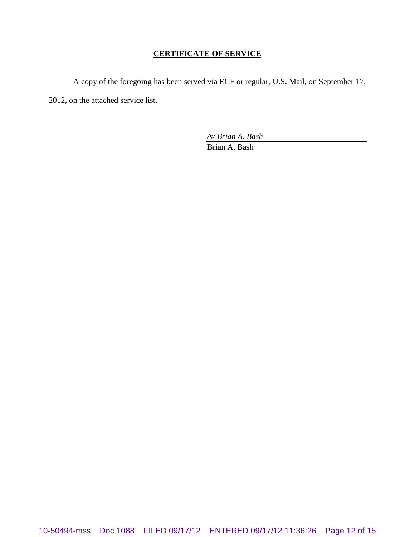## **CERTIFICATE OF SERVICE**

A copy of the foregoing has been served via ECF or regular, U.S. Mail, on September 17, 2012, on the attached service list.

*/s/ Brian A. Bash*

Brian A. Bash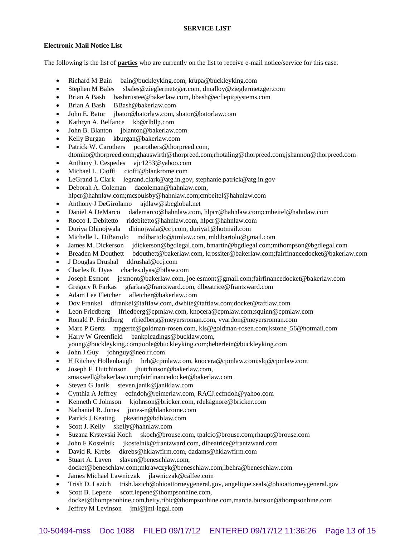### **Electronic Mail Notice List**

The following is the list of **parties** who are currently on the list to receive e-mail notice/service for this case.

- Richard M Bain bain@buckleyking.com, krupa@buckleyking.com
- Stephen M Bales sbales@zieglermetzger.com, dmalloy@zieglermetzger.com
- Brian A Bash bashtrustee@bakerlaw.com, bbash@ecf.epiqsystems.com
- Brian A Bash BBash@bakerlaw.com
- John E. Bator jbator@batorlaw.com, sbator@batorlaw.com
- Kathryn A. Belfance kb@rlbllp.com
- John B. Blanton jblanton@bakerlaw.com
- Kelly Burgan kburgan@bakerlaw.com
- Patrick W. Carothers pcarothers@thorpreed.com,
- dtomko@thorpreed.com;ghauswirth@thorpreed.com;rhotaling@thorpreed.com;jshannon@thorpreed.com
- Anthony J. Cespedes ajc1253@yahoo.com
- Michael L. Cioffi cioffi@blankrome.com
- LeGrand L Clark legrand.clark@atg.in.gov, stephanie.patrick@atg.in.gov
- Deborah A. Coleman dacoleman@hahnlaw.com, hlpcr@hahnlaw.com;mcsoulsby@hahnlaw.com;cmbeitel@hahnlaw.com
- Anthony J DeGirolamo ajdlaw@sbcglobal.net
- Daniel A DeMarco dademarco@hahnlaw.com, hlpcr@hahnlaw.com;cmbeitel@hahnlaw.com
- Rocco I. Debitetto ridebitetto@hahnlaw.com, hlpcr@hahnlaw.com
- Duriya Dhinojwala dhinojwala@ccj.com, duriya1@hotmail.com
- Michelle L. DiBartolo mdibartolo@ttmlaw.com, mldibartolo@gmail.com
- James M. Dickerson jdickerson@bgdlegal.com, bmartin@bgdlegal.com;mthompson@bgdlegal.com
- Breaden M Douthett bdouthett@bakerlaw.com, krossiter@bakerlaw.com;fairfinancedocket@bakerlaw.com
- J Douglas Drushal ddrushal@ccj.com
- Charles R. Dyas charles.dyas@btlaw.com
- Joseph Esmont jesmont@bakerlaw.com, joe.esmont@gmail.com;fairfinancedocket@bakerlaw.com
- Gregory R Farkas gfarkas@frantzward.com, dlbeatrice@frantzward.com
- Adam Lee Fletcher afletcher@bakerlaw.com
- Dov Frankel dfrankel@taftlaw.com, dwhite@taftlaw.com;docket@taftlaw.com
- Leon Friedberg lfriedberg@cpmlaw.com, knocera@cpmlaw.com;squinn@cpmlaw.com
- Ronald P. Friedberg rfriedberg@meyersroman.com, vvardon@meyersroman.com
- Marc P Gertz mpgertz@goldman-rosen.com, kls@goldman-rosen.com;kstone\_56@hotmail.com
- Harry W Greenfield bankpleadings@bucklaw.com, young@buckleyking.com;toole@buckleyking.com;heberlein@buckleyking.com
- John J Guy johnguy@neo.rr.com
- H Ritchey Hollenbaugh hrh@cpmlaw.com, knocera@cpmlaw.com;slq@cpmlaw.com
- Joseph F. Hutchinson jhutchinson@bakerlaw.com,
- smaxwell@bakerlaw.com;fairfinancedocket@bakerlaw.com
- Steven G Janik steven.janik@janiklaw.com
- Cynthia A Jeffrey ecfndoh@reimerlaw.com, RACJ.ecfndoh@yahoo.com
- Kenneth C Johnson kjohnson@bricker.com, rdelsignore@bricker.com
- Nathaniel R. Jones jones-n@blankrome.com
- Patrick J Keating pkeating@bdblaw.com
- Scott J. Kelly skelly@hahnlaw.com
- Suzana Krstevski Koch skoch@brouse.com, tpalcic@brouse.com;rhaupt@brouse.com
- John F Kostelnik jkostelnik@frantzward.com, dlbeatrice@frantzward.com
- David R. Krebs dkrebs@hklawfirm.com, dadams@hklawfirm.com
- Stuart A. Laven slaven@beneschlaw.com, docket@beneschlaw.com;mkrawczyk@beneschlaw.com;lbehra@beneschlaw.com
- James Michael Lawniczak jlawniczak@calfee.com
- Trish D. Lazich trish.lazich@ohioattorneygeneral.gov, angelique.seals@ohioattorneygeneral.gov
- Scott B. Lepene scott.lepene@thompsonhine.com, docket@thompsonhine.com,betty.ribic@thompsonhine.com,marcia.burston@thompsonhine.com
- Jeffrey M Levinson jml@jml-legal.com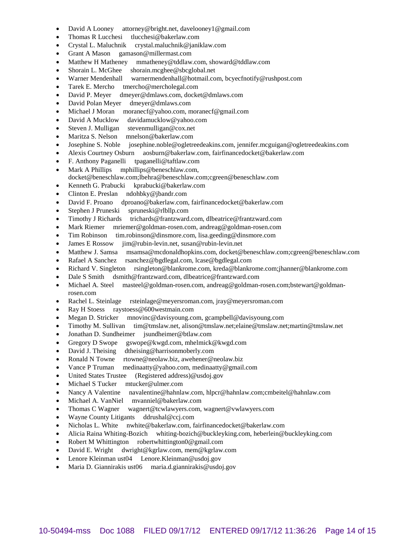- David A Looney attorney@bright.net, davelooney1@gmail.com
- Thomas R Lucchesi tlucchesi@bakerlaw.com
- Crystal L. Maluchnik crystal.maluchnik@janiklaw.com
- Grant A Mason gamason@millermast.com
- Matthew H Matheney mmatheney@tddlaw.com, showard@tddlaw.com
- Shorain L. McGhee shorain.mcghee@sbcglobal.net
- Warner Mendenhall warnermendenhall@hotmail.com, bcyecfnotify@rushpost.com
- Tarek E. Mercho tmercho@mercholegal.com
- David P. Meyer dmeyer@dmlaws.com, docket@dmlaws.com
- David Polan Meyer dmeyer@dmlaws.com
- Michael J Moran moranecf@yahoo.com, moranecf@gmail.com
- David A Mucklow davidamucklow@yahoo.com
- Steven J. Mulligan stevenmulligan@cox.net
- Maritza S. Nelson mnelson@bakerlaw.com
- Josephine S. Noble josephine.noble@ogletreedeakins.com, jennifer.mcguigan@ogletreedeakins.com
- Alexis Courtney Osburn aosburn@bakerlaw.com, fairfinancedocket@bakerlaw.com
- F. Anthony Paganelli tpaganelli@taftlaw.com
- Mark A Phillips mphillips@beneschlaw.com, docket@beneschlaw.com;lbehra@beneschlaw.com;cgreen@beneschlaw.com
- Kenneth G. Prabucki kprabucki@bakerlaw.com
- Clinton E. Preslan ndohbky@jbandr.com
- David F. Proano dproano@bakerlaw.com, fairfinancedocket@bakerlaw.com
- Stephen J Pruneski spruneski@rlbllp.com
- Timothy J Richards trichards@frantzward.com, dlbeatrice@frantzward.com
- Mark Riemer mriemer@goldman-rosen.com, andreag@goldman-rosen.com
- Tim Robinson tim.robinson@dinsmore.com, lisa.geeding@dinsmore.com
- James E Rossow jim@rubin-levin.net, susan@rubin-levin.net
- Matthew J. Samsa msamsa@mcdonaldhopkins.com, docket@beneschlaw.com;cgreen@beneschlaw.com
- Rafael A Sanchez rsanchez@bgdlegal.com, lcase@bgdlegal.com
- Richard V. Singleton rsingleton@blankrome.com, kreda@blankrome.com;jhanner@blankrome.com
- Dale S Smith dsmith@frantzward.com, dlbeatrice@frantzward.com
- Michael A. Steel masteel@goldman-rosen.com, andreag@goldman-rosen.com;bstewart@goldmanrosen.com
- Rachel L. Steinlage rsteinlage@meyersroman.com, jray@meyersroman.com
- Ray H Stoess raystoess@600westmain.com
- Megan D. Stricker mnovinc@davisyoung.com, gcampbell@davisyoung.com
- Timothy M. Sullivan tim@tmslaw.net, alison@tmslaw.net;elaine@tmslaw.net;martin@tmslaw.net
- Jonathan D. Sundheimer jsundheimer@btlaw.com
- Gregory D Swope gswope@kwgd.com, mhelmick@kwgd.com
- David J. Theising dtheising@harrisonmoberly.com
- Ronald N Towne rtowne@neolaw.biz, awehener@neolaw.biz
- Vance P Truman medinaatty@yahoo.com, medinaatty@gmail.com
- United States Trustee (Registered address)@usdoj.gov
- Michael S Tucker mtucker@ulmer.com
- Nancy A Valentine navalentine@hahnlaw.com, hlpcr@hahnlaw.com;cmbeitel@hahnlaw.com
- Michael A. VanNiel mvanniel@bakerlaw.com
- Thomas C Wagner wagnert@tcwlawyers.com, wagnert@vwlawyers.com
- Wayne County Litigants ddrushal@ccj.com
- Nicholas L. White nwhite@bakerlaw.com, fairfinancedocket@bakerlaw.com
- Alicia Raina Whiting-Bozich whiting-bozich@buckleyking.com, heberlein@buckleyking.com
- Robert M Whittington robertwhittington0@gmail.com
- David E. Wright dwright@kgrlaw.com, mem@kgrlaw.com
- Lenore Kleinman ust04 Lenore.Kleinman@usdoj.gov
- Maria D. Giannirakis ust06 maria.d.giannirakis@usdoj.gov